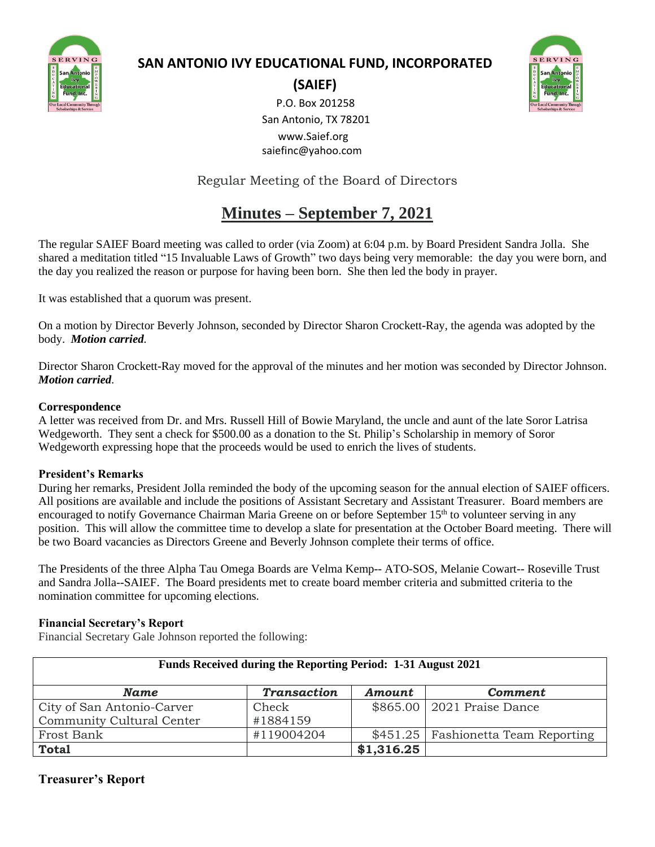

# **SAN ANTONIO IVY EDUCATIONAL FUND, INCORPORATED**



**(SAIEF)** P.O. Box 201258 San Antonio, TX 78201

 www.Saief.org saiefinc@yahoo.com

# Regular Meeting of the Board of Directors

# **Minutes – September 7, 2021**

The regular SAIEF Board meeting was called to order (via Zoom) at 6:04 p.m. by Board President Sandra Jolla. She shared a meditation titled "15 Invaluable Laws of Growth" two days being very memorable: the day you were born, and the day you realized the reason or purpose for having been born. She then led the body in prayer.

It was established that a quorum was present.

On a motion by Director Beverly Johnson, seconded by Director Sharon Crockett-Ray, the agenda was adopted by the body. *Motion carried.*

Director Sharon Crockett-Ray moved for the approval of the minutes and her motion was seconded by Director Johnson. *Motion carried.*

#### **Correspondence**

A letter was received from Dr. and Mrs. Russell Hill of Bowie Maryland, the uncle and aunt of the late Soror Latrisa Wedgeworth. They sent a check for \$500.00 as a donation to the St. Philip's Scholarship in memory of Soror Wedgeworth expressing hope that the proceeds would be used to enrich the lives of students.

#### **President's Remarks**

During her remarks, President Jolla reminded the body of the upcoming season for the annual election of SAIEF officers. All positions are available and include the positions of Assistant Secretary and Assistant Treasurer. Board members are encouraged to notify Governance Chairman Maria Greene on or before September 15<sup>th</sup> to volunteer serving in any position. This will allow the committee time to develop a slate for presentation at the October Board meeting. There will be two Board vacancies as Directors Greene and Beverly Johnson complete their terms of office.

The Presidents of the three Alpha Tau Omega Boards are Velma Kemp-- ATO-SOS, Melanie Cowart-- Roseville Trust and Sandra Jolla--SAIEF. The Board presidents met to create board member criteria and submitted criteria to the nomination committee for upcoming elections.

#### **Financial Secretary's Report**

Financial Secretary Gale Johnson reported the following:

| Funds Received during the Reporting Period: 1-31 August 2021 |                              |            |                                       |  |  |  |  |  |
|--------------------------------------------------------------|------------------------------|------------|---------------------------------------|--|--|--|--|--|
| <b>Name</b>                                                  | <b>Transaction</b><br>Amount |            | <b>Comment</b>                        |  |  |  |  |  |
| City of San Antonio-Carver                                   | Check                        |            | \$865.00   2021 Praise Dance          |  |  |  |  |  |
| Community Cultural Center                                    | #1884159                     |            |                                       |  |  |  |  |  |
| Frost Bank                                                   | #119004204                   |            | \$451.25   Fashionetta Team Reporting |  |  |  |  |  |
| <b>Total</b>                                                 |                              | \$1,316.25 |                                       |  |  |  |  |  |

## **Treasurer's Report**